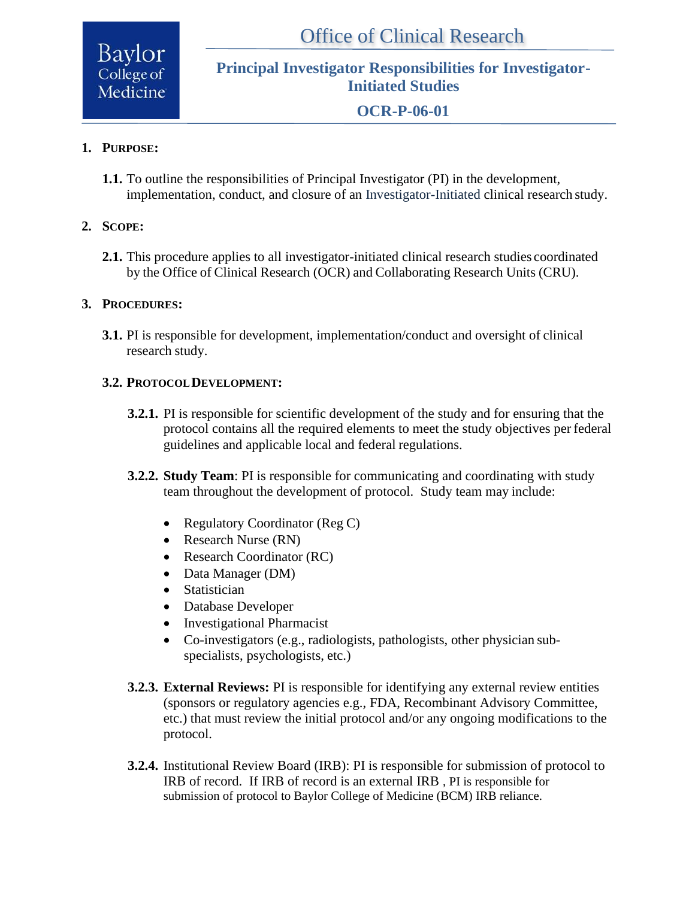Baylor College of Medicine

**Principal Investigator Responsibilities for Investigator-Initiated Studies**

**OCR-P-06-01**

# **1. PURPOSE:**

**1.1.** To outline the responsibilities of Principal Investigator (PI) in the development, implementation, conduct, and closure of an Investigator-Initiated clinical research study.

# **2. SCOPE:**

**2.1.** This procedure applies to all investigator-initiated clinical research studies coordinated by the Office of Clinical Research (OCR) and Collaborating Research Units (CRU).

#### **3. PROCEDURES:**

**3.1.** PI is responsible for development, implementation/conduct and oversight of clinical research study.

#### **3.2. PROTOCOLDEVELOPMENT:**

- **3.2.1.** PI is responsible for scientific development of the study and for ensuring that the protocol contains all the required elements to meet the study objectives per federal guidelines and applicable local and federal regulations.
- **3.2.2. Study Team**: PI is responsible for communicating and coordinating with study team throughout the development of protocol. Study team may include:
	- Regulatory Coordinator (Reg C)
	- Research Nurse (RN)
	- Research Coordinator (RC)
	- Data Manager (DM)
	- Statistician
	- Database Developer
	- Investigational Pharmacist
	- Co-investigators (e.g., radiologists, pathologists, other physician subspecialists, psychologists, etc.)
- **3.2.3. External Reviews:** PI is responsible for identifying any external review entities (sponsors or regulatory agencies e.g., FDA, Recombinant Advisory Committee, etc.) that must review the initial protocol and/or any ongoing modifications to the protocol.
- **3.2.4.** Institutional Review Board (IRB): PI is responsible for submission of protocol to IRB of record. If IRB of record is an external IRB , PI is responsible for submission of protocol to Baylor College of Medicine (BCM) IRB reliance.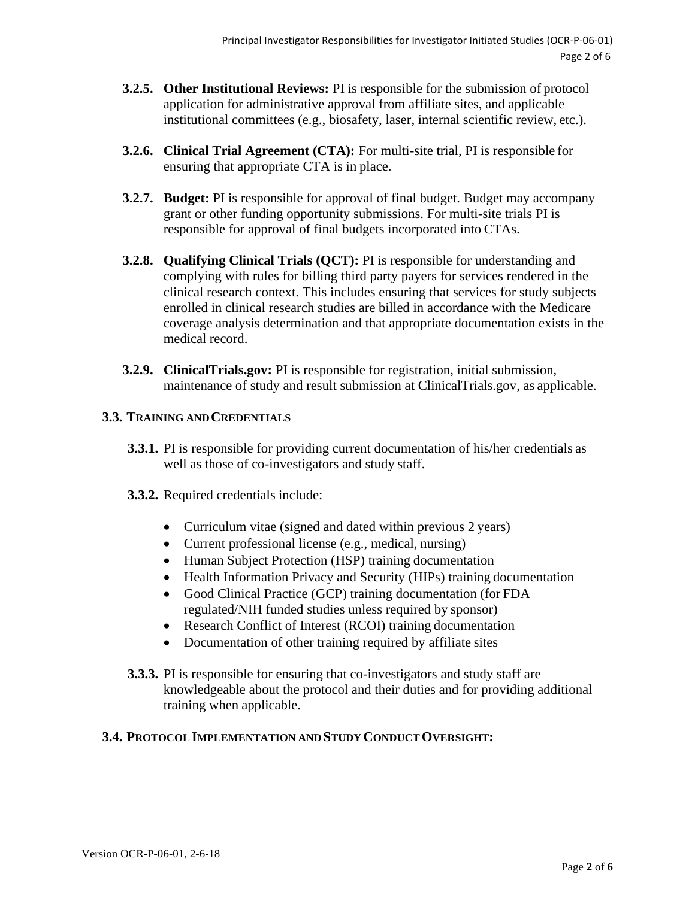- **3.2.5. Other Institutional Reviews:** PI is responsible for the submission of protocol application for administrative approval from affiliate sites, and applicable institutional committees (e.g., biosafety, laser, internal scientific review, etc.).
- **3.2.6. Clinical Trial Agreement (CTA):** For multi-site trial, PI is responsible for ensuring that appropriate CTA is in place.
- **3.2.7. Budget:** PI is responsible for approval of final budget. Budget may accompany grant or other funding opportunity submissions. For multi-site trials PI is responsible for approval of final budgets incorporated into CTAs.
- **3.2.8. Qualifying Clinical Trials (QCT):** PI is responsible for understanding and complying with rules for billing third party payers for services rendered in the clinical research context. This includes ensuring that services for study subjects enrolled in clinical research studies are billed in accordance with the Medicare coverage analysis determination and that appropriate documentation exists in the medical record.
- **3.2.9. ClinicalTrials.gov:** PI is responsible for registration, initial submission, maintenance of study and result submission at ClinicalTrials.gov, as applicable.

# **3.3. TRAINING ANDCREDENTIALS**

- **3.3.1.** PI is responsible for providing current documentation of his/her credentials as well as those of co-investigators and study staff.
- **3.3.2.** Required credentials include:
	- Curriculum vitae (signed and dated within previous 2 years)
	- Current professional license (e.g., medical, nursing)
	- Human Subject Protection (HSP) training documentation
	- Health Information Privacy and Security (HIPs) training documentation
	- Good Clinical Practice (GCP) training documentation (for FDA regulated/NIH funded studies unless required by sponsor)
	- Research Conflict of Interest (RCOI) training documentation
	- Documentation of other training required by affiliate sites
- **3.3.3.** PI is responsible for ensuring that co-investigators and study staff are knowledgeable about the protocol and their duties and for providing additional training when applicable.

# **3.4. PROTOCOL IMPLEMENTATION AND STUDY CONDUCTOVERSIGHT:**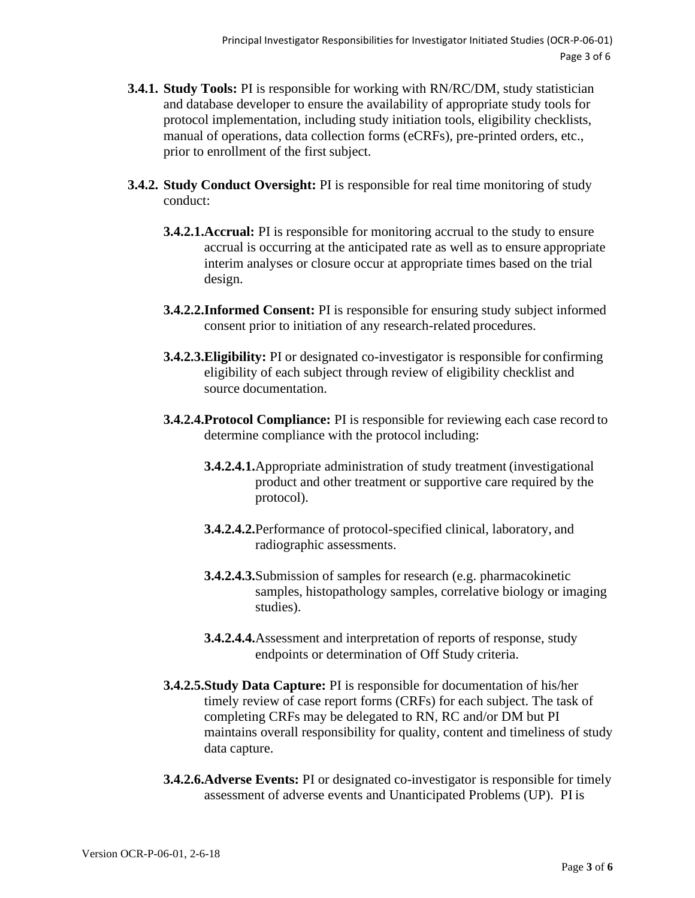- **3.4.1. Study Tools:** PI is responsible for working with RN/RC/DM, study statistician and database developer to ensure the availability of appropriate study tools for protocol implementation, including study initiation tools, eligibility checklists, manual of operations, data collection forms (eCRFs), pre-printed orders, etc., prior to enrollment of the first subject.
- **3.4.2. Study Conduct Oversight:** PI is responsible for real time monitoring of study conduct:
	- **3.4.2.1.Accrual:** PI is responsible for monitoring accrual to the study to ensure accrual is occurring at the anticipated rate as well as to ensure appropriate interim analyses or closure occur at appropriate times based on the trial design.
	- **3.4.2.2.Informed Consent:** PI is responsible for ensuring study subject informed consent prior to initiation of any research-related procedures.
	- **3.4.2.3.Eligibility:** PI or designated co-investigator is responsible for confirming eligibility of each subject through review of eligibility checklist and source documentation.
	- **3.4.2.4.Protocol Compliance:** PI is responsible for reviewing each case record to determine compliance with the protocol including:
		- **3.4.2.4.1.**Appropriate administration of study treatment (investigational product and other treatment or supportive care required by the protocol).
		- **3.4.2.4.2.**Performance of protocol-specified clinical, laboratory, and radiographic assessments.
		- **3.4.2.4.3.**Submission of samples for research (e.g. pharmacokinetic samples, histopathology samples, correlative biology or imaging studies).
		- **3.4.2.4.4.**Assessment and interpretation of reports of response, study endpoints or determination of Off Study criteria.
	- **3.4.2.5.Study Data Capture:** PI is responsible for documentation of his/her timely review of case report forms (CRFs) for each subject. The task of completing CRFs may be delegated to RN, RC and/or DM but PI maintains overall responsibility for quality, content and timeliness of study data capture.
	- **3.4.2.6.Adverse Events:** PI or designated co-investigator is responsible for timely assessment of adverse events and Unanticipated Problems (UP). PI is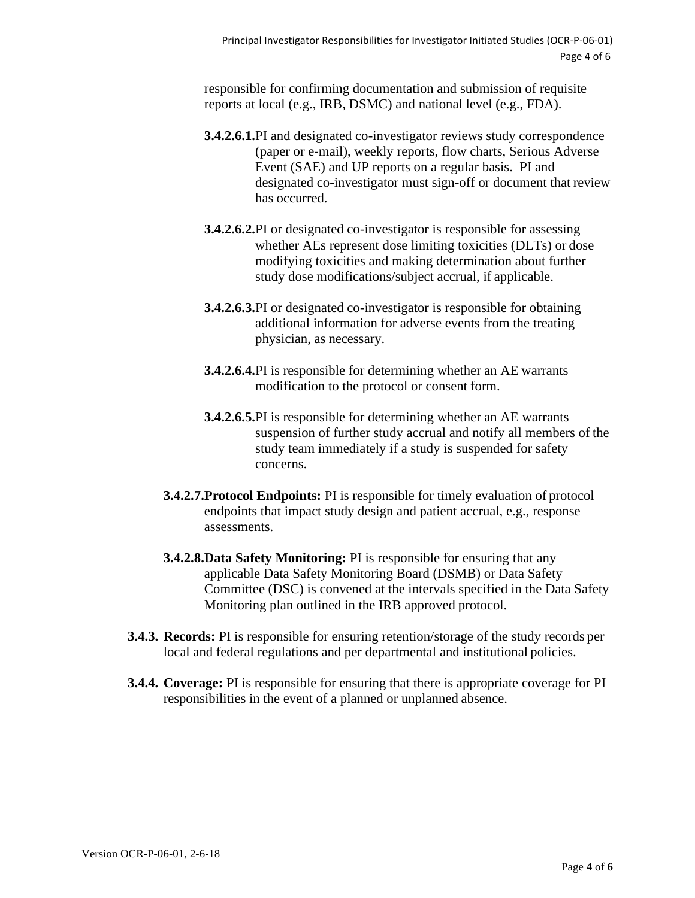responsible for confirming documentation and submission of requisite reports at local (e.g., IRB, DSMC) and national level (e.g., FDA).

- **3.4.2.6.1.**PI and designated co-investigator reviews study correspondence (paper or e-mail), weekly reports, flow charts, Serious Adverse Event (SAE) and UP reports on a regular basis. PI and designated co-investigator must sign-off or document that review has occurred.
- **3.4.2.6.2.**PI or designated co-investigator is responsible for assessing whether AEs represent dose limiting toxicities (DLTs) or dose modifying toxicities and making determination about further study dose modifications/subject accrual, if applicable.
- **3.4.2.6.3.**PI or designated co-investigator is responsible for obtaining additional information for adverse events from the treating physician, as necessary.
- **3.4.2.6.4.**PI is responsible for determining whether an AE warrants modification to the protocol or consent form.
- **3.4.2.6.5.**PI is responsible for determining whether an AE warrants suspension of further study accrual and notify all members of the study team immediately if a study is suspended for safety concerns.
- **3.4.2.7.Protocol Endpoints:** PI is responsible for timely evaluation of protocol endpoints that impact study design and patient accrual, e.g., response assessments.
- **3.4.2.8.Data Safety Monitoring:** PI is responsible for ensuring that any applicable Data Safety Monitoring Board (DSMB) or Data Safety Committee (DSC) is convened at the intervals specified in the Data Safety Monitoring plan outlined in the IRB approved protocol.
- **3.4.3. Records:** PI is responsible for ensuring retention/storage of the study records per local and federal regulations and per departmental and institutional policies.
- **3.4.4. Coverage:** PI is responsible for ensuring that there is appropriate coverage for PI responsibilities in the event of a planned or unplanned absence.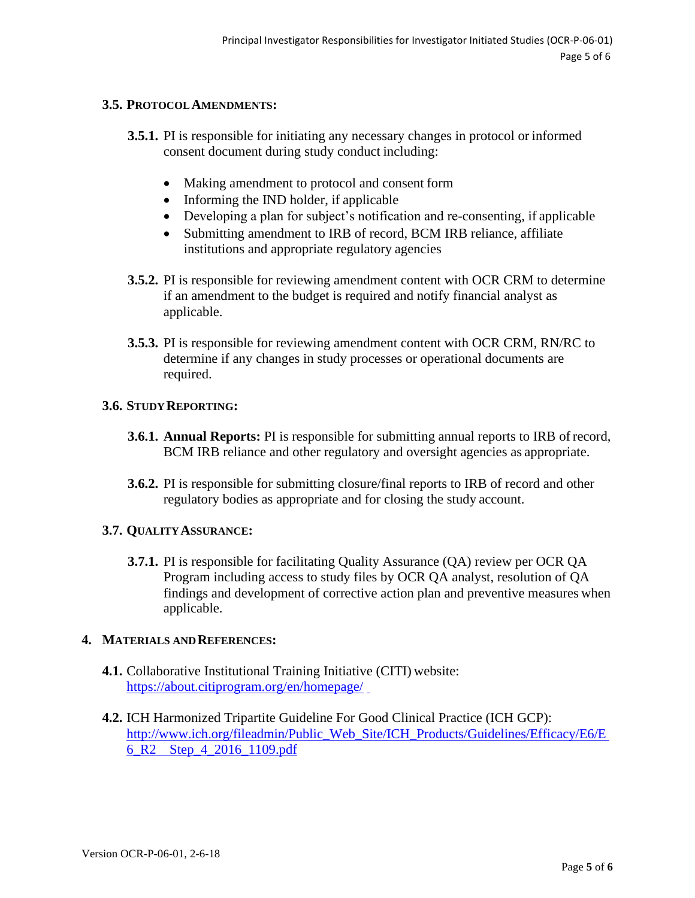# **3.5. PROTOCOLAMENDMENTS:**

- **3.5.1.** PI is responsible for initiating any necessary changes in protocol or informed consent document during study conduct including:
	- Making amendment to protocol and consent form
	- Informing the IND holder, if applicable
	- Developing a plan for subject's notification and re-consenting, if applicable
	- Submitting amendment to IRB of record, BCM IRB reliance, affiliate institutions and appropriate regulatory agencies
- **3.5.2.** PI is responsible for reviewing amendment content with OCR CRM to determine if an amendment to the budget is required and notify financial analyst as applicable.
- **3.5.3.** PI is responsible for reviewing amendment content with OCR CRM, RN/RC to determine if any changes in study processes or operational documents are required.

#### **3.6. STUDYREPORTING:**

- **3.6.1. Annual Reports:** PI is responsible for submitting annual reports to IRB ofrecord, BCM IRB reliance and other regulatory and oversight agencies as appropriate.
- **3.6.2.** PI is responsible for submitting closure/final reports to IRB of record and other regulatory bodies as appropriate and for closing the study account.

# **3.7. QUALITYASSURANCE:**

**3.7.1.** PI is responsible for facilitating Quality Assurance (QA) review per OCR QA Program including access to study files by OCR QA analyst, resolution of QA findings and development of corrective action plan and preventive measures when applicable.

#### **4. MATERIALS ANDREFERENCES:**

- **4.1.** Collaborative Institutional Training Initiative (CITI) website: <https://about.citiprogram.org/en/homepage/>
- **4.2.** ICH Harmonized Tripartite Guideline For Good Clinical Practice (ICH GCP): [http://www.ich.org/fileadmin/Public\\_Web\\_Site/ICH\\_Products/Guidelines/Efficacy/E6/E](http://www.ich.org/fileadmin/Public_Web_Site/ICH_Products/Guidelines/Efficacy/E6/E6_R2__Step_4_2016_1109.pdf)  [6\\_R2 Step\\_4\\_2016\\_1109.pdf](http://www.ich.org/fileadmin/Public_Web_Site/ICH_Products/Guidelines/Efficacy/E6/E6_R2__Step_4_2016_1109.pdf)